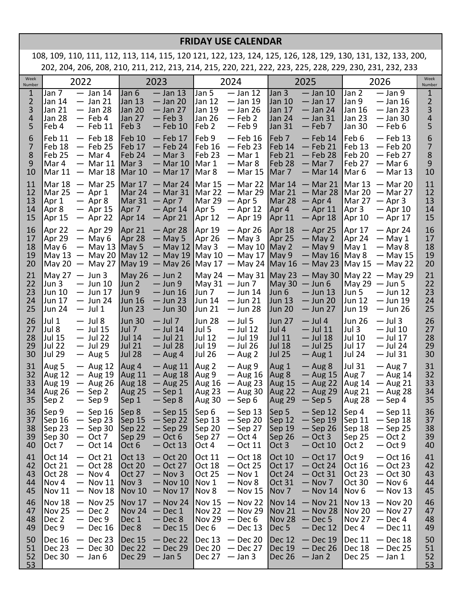## **FRIDAY USE CALENDAR**

108, 109, 110, 111, 112, 113, 114, 115, 120 121, 122, 123, 124, 125, 126, 128, 129, 130, 131, 132, 133, 200, 202, 204, 206, 208, 210, 211, 212, 213, 214, 215, 220, 221, 222, 223, 225, 228, 229, 230, 231, 232, 233

| Week<br>Number                   | 2022                                                                                                                                  | 2023                                                                                                                                   | 2024                                                                                                                                                                         | 2025                                                                                                                                      | 2026                                                                                                                            | Week<br>Number                                             |
|----------------------------------|---------------------------------------------------------------------------------------------------------------------------------------|----------------------------------------------------------------------------------------------------------------------------------------|------------------------------------------------------------------------------------------------------------------------------------------------------------------------------|-------------------------------------------------------------------------------------------------------------------------------------------|---------------------------------------------------------------------------------------------------------------------------------|------------------------------------------------------------|
| $\mathbf{1}$<br>2<br>3<br>4<br>5 | Jan 7<br>$-$ Jan 14<br>Jan 14<br>$-$ Jan 21<br>Jan 21<br>$-$ Jan 28<br><b>Jan 28</b><br>$-$ Feb 4<br>Feb 4<br>$-$ Feb 11              | Jan 6<br>$-$ Jan 13<br>Jan 13<br>$-$ Jan 20<br>Jan 20<br>$-$ Jan 27<br>Jan 27<br>$-$ Feb 3<br>Feb <sub>3</sub><br>$-$ Feb 10           | Jan 5<br>$-$ Jan 12<br><b>Jan 12</b><br>— Jan 19<br> Jan 19<br>$-$ Jan 26<br>Jan 26<br>$-$ Feb 2<br>Feb 2<br>— Feb 9                                                         | Jan 3<br>$-$ Jan 10<br>Jan 10<br>— Jan 17<br>Jan 17<br>— Jan 24<br>Jan 24<br>$-$ Jan 31<br>Jan 31<br>$-$ Feb 7                            | $-$ Jan 9<br>Jan 2<br>Jan 9<br>$-$ Jan 16<br>Jan 16<br>$-$ Jan 23<br>Jan 23<br>$-$ Jan 30<br>Jan 30<br>$-$ Feb 6                | $\mathbf{1}$<br>$\overline{2}$<br>3<br>$\overline{4}$<br>5 |
| 6<br>7<br>8<br>9<br>10           | $-$ Feb 18<br>Feb 11<br>Feb 18<br>$-$ Feb 25<br>Feb <sub>25</sub><br>$-$ Mar 4<br>Mar 4<br>$-$ Mar 11<br>Mar 11<br>$-$ Mar 18         | Feb 10<br>$-$ Feb 17<br>Feb 17<br>— Feb 24<br>Feb 24<br>$-$ Mar 3<br>Mar <sub>3</sub><br>$-$ Mar 10<br>Mar 10<br>$-$ Mar 17            | Feb 9<br>— Feb 16<br> Feb 16<br>$-$ Feb 23<br>Feb <sub>23</sub><br>$-$ Mar 1<br>Mar 1<br>$-$ Mar 8<br>Mar 8<br>$-$ Mar 15                                                    | Feb <sub>7</sub><br>— Feb 14<br>Feb 14<br>— Feb 21<br>Feb 21<br>$-$ Feb 28<br>Feb 28<br>$-$ Mar 7<br>Mar <sub>7</sub><br>— Mar 14         | Feb 6<br>$-$ Feb 13<br>Feb 13<br>— Feb 20<br>Feb 20<br>$-$ Feb 27<br>Feb 27<br>$-$ Mar 6<br>Mar 6<br>$-$ Mar 13                 | 6<br>7<br>8<br>9<br>10                                     |
| 11<br>12<br>13<br>14<br>15       | $-$ Mar 25<br>Mar 18<br>Mar 25<br>$-$ Apr 1<br>Apr 1<br>$-$ Apr 8<br>Apr 8<br>$-$ Apr 15<br>$-$ Apr 22<br>Apr 15                      | Mar $17 - M$ ar 24<br>Mar 24<br>$-$ Mar 31<br>Mar 31<br>$-$ Apr 7<br>Apr 7<br>$-$ Apr 14<br>Apr 14<br>$-$ Apr 21                       | Mar 15<br>$-$ Mar 22<br>$-$ Mar 29<br>Mar 22<br>Mar 29<br>$-$ Apr 5<br>Apr 5<br>$-$ Apr 12<br>Apr 12<br>$-$ Apr 19                                                           | Mar 14<br>$-$ Mar 21<br>Mar 21<br>$-$ Mar 28<br>Mar 28<br>$-$ Apr 4<br>Apr 4<br>— Apr 11<br>Apr 11<br>$-$ Apr 18                          | Mar 13<br>— Mar 20<br>Mar 20<br>— Mar 27<br>Mar $27 -$ Apr 3<br>Apr 3<br>— Apr 10<br>Apr 10<br>$-$ Apr 17                       | 11<br>12<br>13<br>14<br>15                                 |
| 16<br>17<br>18<br>19<br>20       | Apr 22<br>$-$ Apr 29<br>Apr 29<br>$-$ May 6<br>May 6<br>$-$ May 13   May 5<br>$-$ May 20<br>May 13<br>May 20                          | Apr 21<br>$-$ Apr 28<br>Apr 28<br>$-$ May 5<br>$-$ May 12   May 3<br>May 12<br>$-$ May 19                                              | Apr 19<br>$-$ Apr 26<br>Apr 26<br>$-$ May 3<br>$-$ May 10   May 2<br>$\sqrt{May 10} - \sqrt{May 17}$ May 9<br>— May 27   May 19 — May 26   May 17 — May 24   May 16 — May 23 | Apr 18<br>$-$ Apr 25<br>Apr 25<br>$-$ May 2<br>$-$ May 9<br>$-$ May 16                                                                    | Apr 17<br>$-$ Apr 24<br>Apr 24<br>$-$ May 1<br>May 1<br>$-$ May 8<br>May 8<br>$-$ May 15<br>May $15 -$ May 22                   | 16<br>17<br>18<br>19<br>20                                 |
| 21<br>22<br>23<br>24<br>25       | May 27<br>$-$ Jun 3<br>Jun 3<br>$-$ Jun 10<br>Jun 10<br>$-$ Jun 17<br>Jun 17<br>$-$ Jun 24<br><b>Jun 24</b><br>$-$ Jul 1              | $May 26 - Jun 2$<br>Jun 2<br>$-$ Jun 9<br>Jun 9<br>$-$ Jun 16<br>Jun 16<br>$-$ Jun 23<br>Jun 23<br>$-$ Jun 30                          | $May 24 - May 31$ May 23 - May 30<br>$\text{Mav } 31 - \text{Jun } 7$<br> Jun 7<br>$-$ Jun 14<br><b>Jun 14</b><br>$-$ Jun 21<br><b>Jun 21</b><br>$-$ Jun 28                  | May 30<br>$-$ Jun 6<br>Jun 6<br>$-$ Jun 13<br>$-$ Jun 20<br> Jun 13<br><b>Jun 20</b><br>— Jun 27                                          | $May 22 - May 29$<br>May 29 $-$ Jun 5<br>Jun 5<br>$-$ Jun 12<br>Jun 12<br>— Jun 19<br>Jun 19<br>$-$ Jun 26                      | 21<br>22<br>23<br>24<br>25                                 |
| 26<br>27<br>28<br>29<br>30       | Jul 1<br>$-$ Jul 8<br>Jul 8<br>$-$ Jul 15<br><b>Jul 15</b><br>$-$ Jul 22<br><b>Jul 22</b><br>$-$ Jul 29<br><b>Jul 29</b><br>$-$ Aug 5 | <b>Jun 30</b><br>$-$ Jul 7<br>Jul 7<br>$-$ Jul 14<br><b>Jul 14</b><br>$-$ Jul 21<br><b>Jul 21</b><br>$-$ Jul 28<br>Jul 28<br>$-$ Aug 4 | Jun 28<br>$-$ Jul 5<br>Jul 5<br>$-$ Jul 12<br> Jul 12<br>$-$ Jul 19<br> Jul 19<br>$-$ Jul 26<br><b>Jul 26</b><br>$-$ Aug 2                                                   | <b>Jun 27</b><br>$-$ Jul 4<br>Jul 4<br>— Jul 11<br><b>Jul 11</b><br>$-$ Jul 18<br><b>Jul 18</b><br>— Jul 25<br><b>Jul 25</b><br>$-$ Aug 1 | <b>Jun 26</b><br>$-$ Jul 3<br>Jul 3<br>$-$ Jul 10<br>Jul 10<br>$-$ Jul 17<br>Jul 17<br>— Jul 24<br><b>Jul 24</b><br>$-$ Jul 31  | 26<br>27<br>28<br>29<br>30                                 |
| 31<br>32<br>33<br>34<br>35       | Aug 5<br>$-$ Aug 12<br><b>Aug 12</b><br>$-$ Aug 19<br><b>Aug 19</b><br>$-$ Aug 26<br><b>Aug 26</b><br>$-$ Sep 2<br>$-$ Sep 9<br>Sep 2 | Aug 4<br>$-$ Aug 11<br><b>Aug 11</b><br>$-$ Aug 18<br>Aug 18<br>$-$ Aug 25<br>$-$ Sep 1<br>Aug 25<br>$-$ Sep 8<br>Sep 1                | Aug 2<br>$-$ Aug 9<br>Aug 9<br>$-$ Aug 16<br>Aug 16<br>$-$ Aug 23<br>Aug 23<br>$-$ Aug 30<br>Aug 30<br>$-$ Sep 6                                                             | Aug 1<br>$-$ Aug 8<br>Aug 8<br>$-$ Aug 15<br>Aug 15<br>$-$ Aug 22<br>Aug 22<br>$-$ Aug 29<br>Aug 29<br>$-$ Sep 5                          | Jul 31<br>$-$ Aug 7<br>Aug 7<br>$-$ Aug 14<br>Aug 14<br>$-$ Aug 21<br><b>Aug 21</b><br>$-$ Aug 28<br><b>Aug 28</b><br>$-$ Sep 4 | 31<br>32<br>33<br>34<br>35                                 |
| 36<br>37<br>38<br>39<br>40       | Sep 9<br>$-$ Sep 16 Sep 8<br>Sep 16<br>$-$ Sep 23<br>Sep 23<br>$-$ Sep 30<br>Sep 30<br>$-$ Oct 7<br>Oct 7<br>$-$ Oct 14               | Sep 15<br>$-$ Sep 22<br>Sep 22<br>$-$ Sep 29<br>Sep 29<br>$-$ Oct 6<br>Oct 6<br>$-$ Oct 13                                             | $-$ Sep 15 Sep 6 $-$ Sep 13 Sep 5<br>Sep 13<br>$-$ Sep 20<br>Sep 20<br>$-$ Sep 27<br>Sep 27<br>$-$ Oct 4<br>Oct 4<br>$-$ Oct 11                                              | $-$ Sep 12<br>Sep 12<br>— Sep 19<br>Sep 19<br>$-$ Sep 26<br>Sep 26<br>$-$ Oct 3<br>Oct 3<br>$-$ Oct 10                                    | Sep 4<br>$-$ Sep 11<br>Sep 11<br>$-$ Sep 18<br>Sep 18<br>$-$ Sep 25<br>Sep 25<br>$-$ Oct 2<br>$-$ Oct 9<br>Oct 2                | 36<br>37<br>38<br>39<br>40                                 |
| 41<br>42<br>43<br>44<br>45       | Oct 14<br>$-$ Oct 21<br><b>Oct 21</b><br>$-$ Oct 28<br>Oct 28<br>$-$ Nov 4<br>Nov 4<br>$-$ Nov 11<br><b>Nov 11</b><br>$-$ Nov 18      | $-$ Oct 20<br>Oct 13<br><b>Oct 20</b><br>$-$ Oct 27<br>Oct 27<br>$-$ Nov 3<br>Nov 3<br>$-$ Nov 10<br><b>Nov 10</b><br>$-$ Nov 17       | Oct 11<br>$-$ Oct 18<br> Oct 18<br>$-$ Oct 25<br>Oct 25<br>$-$ Nov 1<br>Nov 1<br>$-$ Nov 8<br>Nov 8<br>$-$ Nov 15                                                            | Oct 10<br>$-$ Oct 17<br><b>Oct 17</b><br>— Oct 24<br>Oct 24<br>$-$ Oct 31<br>Oct 31<br>$-$ Nov 7<br>Nov <sub>7</sub><br>$-$ Nov 14        | Oct 9<br>$-$ Oct 16<br>Oct 16<br>$-$ Oct 23<br>Oct 23<br>$-$ Oct 30<br>Oct 30<br>$-$ Nov 6<br>Nov <sub>6</sub><br>$-$ Nov 13    | 41<br>42<br>43<br>44<br>45                                 |
| 46<br>47<br>48<br>49             | Nov 18<br>$-$ Nov 25<br>Nov 25<br>$-$ Dec 2<br>Dec 2<br>$-$ Dec 9<br>Dec 9<br>$-$ Dec 16                                              | Nov 17<br>$-$ Nov 24<br>$\sqrt{\textsf{Nov 24}}$<br>$-$ Dec 1<br>Dec 1<br>$-$ Dec 8<br>Dec 8<br>$-$ Dec 15                             | Nov 15<br>$-$ Nov 22<br> Nov 22<br>$-$ Nov 29<br>Nov 29<br>$-$ Dec 6<br>Dec 6<br>$-$ Dec 13                                                                                  | <b>Nov 14</b><br>$-$ Nov 21<br><b>Nov 21</b><br>$-$ Nov 28<br>Nov 28<br>$-$ Dec 5<br>Dec <sub>5</sub><br>$-$ Dec 12                       | <b>Nov 13</b><br>$-$ Nov 20<br>Nov 20<br>$-$ Nov 27<br><b>Nov 27</b><br>$-$ Dec 4<br>Dec 4<br>$-$ Dec 11                        | 46<br>47<br>48<br>49                                       |
| 50<br>51<br>52<br>53             | $-$ Dec 23<br>Dec 16<br>Dec 23<br>$-$ Dec 30<br>Dec 30<br>$-$ Jan 6                                                                   | Dec 15<br>$-$ Dec 22<br>$-$ Dec 29<br>Dec 22<br><b>Dec 29</b><br>$-$ Jan 5                                                             | Dec 13<br>$-$ Dec 20<br>$\vert$ Dec 20 — Dec 27<br>Dec $27 - \text{Jan } 3$                                                                                                  | Dec 12<br>$-$ Dec 19<br>Dec 19<br>$-$ Dec 26<br>Dec 26<br>$-$ Jan 2                                                                       | Dec 11<br>$-$ Dec 18<br>Dec $18 - Dec 25$<br>Dec 25<br>— Jan 1                                                                  | 50<br>51<br>52<br>53                                       |